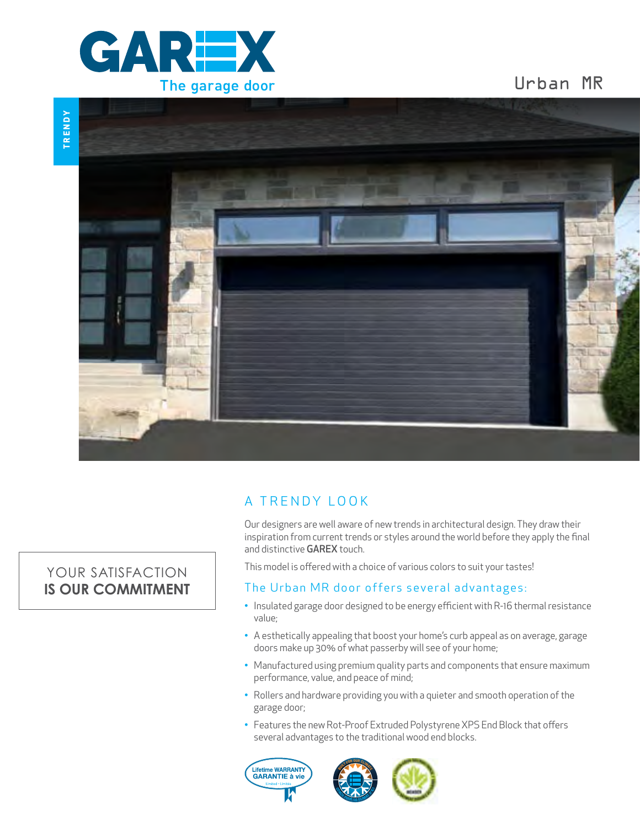

YOUR SATISFACTION **IS OUR COMMITMENT**

## Urban MR



### A TRENDY LOOK

Our designers are well aware of new trends in architectural design. They draw their inspiration from current trends or styles around the world before they apply the final and distinctive **GAREX** touch.

This model is offered with a choice of various colors to suit your tastes!

### The Urban MR door offers several advantages:

- Insulated garage door designed to be energy efficient with R-16 thermal resistance value;
- A esthetically appealing that boost your home's curb appeal as on average, garage doors make up 30% of what passerby will see of your home;
- Manufactured using premium quality parts and components that ensure maximum performance, value, and peace of mind;
- Rollers and hardware providing you with a quieter and smooth operation of the garage door;
- Features the new Rot-Proof Extruded Polystyrene XPS End Block that offers several advantages to the traditional wood end blocks.